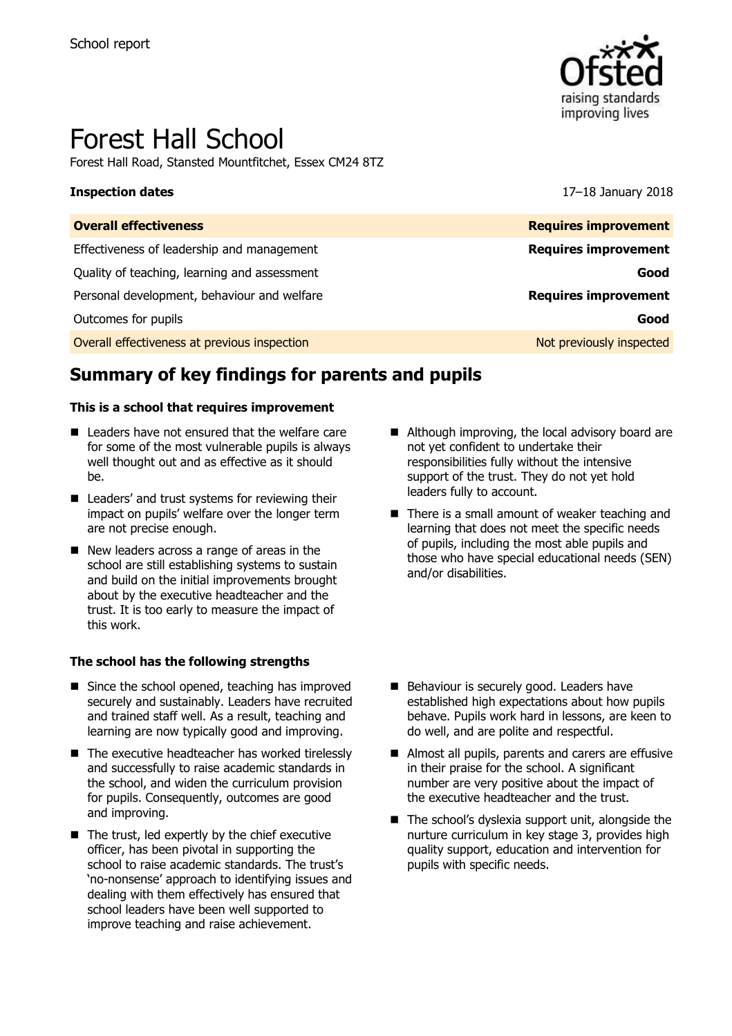

# Forest Hall School

Forest Hall Road, Stansted Mountfitchet, Essex CM24 8TZ

**Inspection dates** 17–18 January 2018

| <b>Overall effectiveness</b>                 | <b>Requires improvement</b> |
|----------------------------------------------|-----------------------------|
| Effectiveness of leadership and management   | <b>Requires improvement</b> |
| Quality of teaching, learning and assessment | Good                        |
| Personal development, behaviour and welfare  | <b>Requires improvement</b> |
| Outcomes for pupils                          | Good                        |
| Overall effectiveness at previous inspection | Not previously inspected    |

# **Summary of key findings for parents and pupils**

#### **This is a school that requires improvement**

- Leaders have not ensured that the welfare care for some of the most vulnerable pupils is always well thought out and as effective as it should be.
- Leaders' and trust systems for reviewing their impact on pupils' welfare over the longer term are not precise enough.
- New leaders across a range of areas in the school are still establishing systems to sustain and build on the initial improvements brought about by the executive headteacher and the trust. It is too early to measure the impact of this work.

#### **The school has the following strengths**

- Since the school opened, teaching has improved securely and sustainably. Leaders have recruited and trained staff well. As a result, teaching and learning are now typically good and improving.
- $\blacksquare$  The executive headteacher has worked tirelessly and successfully to raise academic standards in the school, and widen the curriculum provision for pupils. Consequently, outcomes are good and improving.
- $\blacksquare$  The trust, led expertly by the chief executive officer, has been pivotal in supporting the school to raise academic standards. The trust's 'no-nonsense' approach to identifying issues and dealing with them effectively has ensured that school leaders have been well supported to improve teaching and raise achievement.
- Although improving, the local advisory board are not yet confident to undertake their responsibilities fully without the intensive support of the trust. They do not yet hold leaders fully to account.
- There is a small amount of weaker teaching and learning that does not meet the specific needs of pupils, including the most able pupils and those who have special educational needs (SEN) and/or disabilities.
- Behaviour is securely good. Leaders have established high expectations about how pupils behave. Pupils work hard in lessons, are keen to do well, and are polite and respectful.
- Almost all pupils, parents and carers are effusive in their praise for the school. A significant number are very positive about the impact of the executive headteacher and the trust.
- The school's dyslexia support unit, alongside the nurture curriculum in key stage 3, provides high quality support, education and intervention for pupils with specific needs.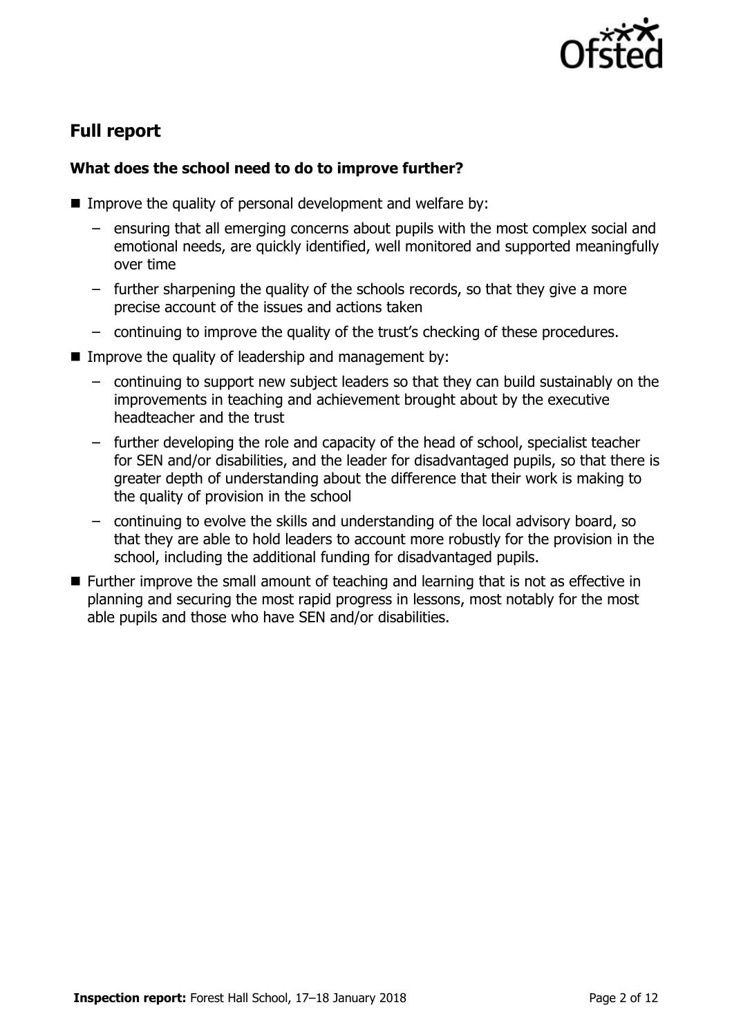

# **Full report**

### **What does the school need to do to improve further?**

- Improve the quality of personal development and welfare by:
	- ensuring that all emerging concerns about pupils with the most complex social and emotional needs, are quickly identified, well monitored and supported meaningfully over time
	- further sharpening the quality of the schools records, so that they give a more precise account of the issues and actions taken
	- continuing to improve the quality of the trust's checking of these procedures.
- $\blacksquare$  Improve the quality of leadership and management by:
	- continuing to support new subject leaders so that they can build sustainably on the improvements in teaching and achievement brought about by the executive headteacher and the trust
	- further developing the role and capacity of the head of school, specialist teacher for SEN and/or disabilities, and the leader for disadvantaged pupils, so that there is greater depth of understanding about the difference that their work is making to the quality of provision in the school
	- continuing to evolve the skills and understanding of the local advisory board, so that they are able to hold leaders to account more robustly for the provision in the school, including the additional funding for disadvantaged pupils.
- Further improve the small amount of teaching and learning that is not as effective in planning and securing the most rapid progress in lessons, most notably for the most able pupils and those who have SEN and/or disabilities.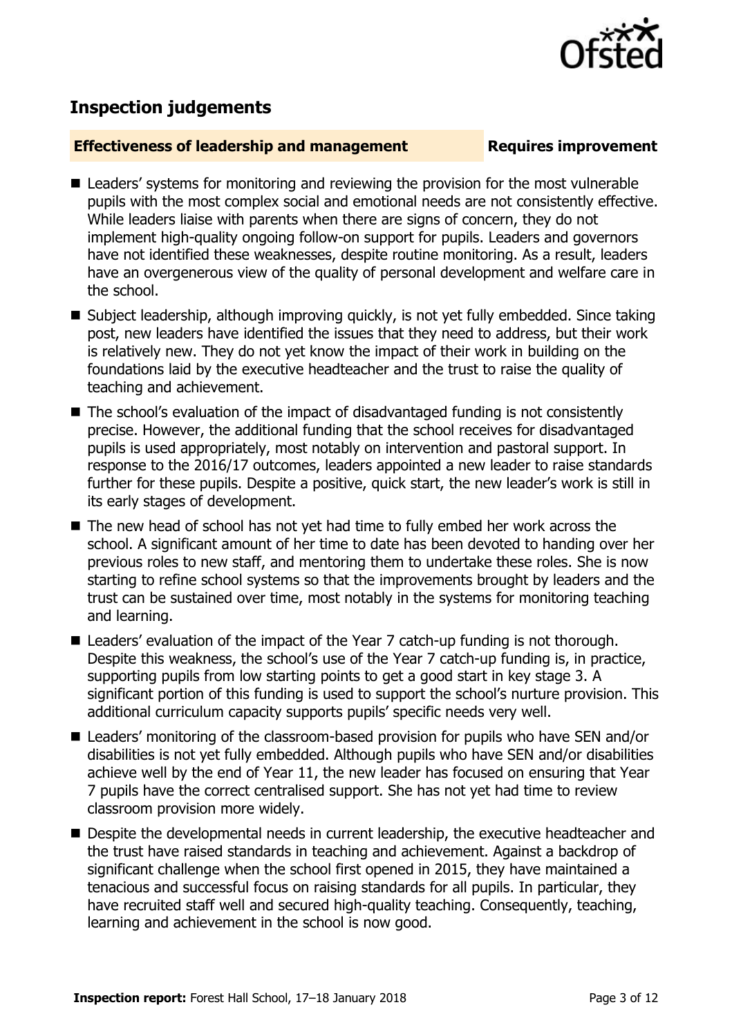

## **Inspection judgements**

#### **Effectiveness of leadership and management Requires improvement**

- Leaders' systems for monitoring and reviewing the provision for the most vulnerable pupils with the most complex social and emotional needs are not consistently effective. While leaders liaise with parents when there are signs of concern, they do not implement high-quality ongoing follow-on support for pupils. Leaders and governors have not identified these weaknesses, despite routine monitoring. As a result, leaders have an overgenerous view of the quality of personal development and welfare care in the school.
- Subject leadership, although improving quickly, is not yet fully embedded. Since taking post, new leaders have identified the issues that they need to address, but their work is relatively new. They do not yet know the impact of their work in building on the foundations laid by the executive headteacher and the trust to raise the quality of teaching and achievement.
- The school's evaluation of the impact of disadvantaged funding is not consistently precise. However, the additional funding that the school receives for disadvantaged pupils is used appropriately, most notably on intervention and pastoral support. In response to the 2016/17 outcomes, leaders appointed a new leader to raise standards further for these pupils. Despite a positive, quick start, the new leader's work is still in its early stages of development.
- The new head of school has not yet had time to fully embed her work across the school. A significant amount of her time to date has been devoted to handing over her previous roles to new staff, and mentoring them to undertake these roles. She is now starting to refine school systems so that the improvements brought by leaders and the trust can be sustained over time, most notably in the systems for monitoring teaching and learning.
- Leaders' evaluation of the impact of the Year 7 catch-up funding is not thorough. Despite this weakness, the school's use of the Year 7 catch-up funding is, in practice, supporting pupils from low starting points to get a good start in key stage 3. A significant portion of this funding is used to support the school's nurture provision. This additional curriculum capacity supports pupils' specific needs very well.
- Leaders' monitoring of the classroom-based provision for pupils who have SEN and/or disabilities is not yet fully embedded. Although pupils who have SEN and/or disabilities achieve well by the end of Year 11, the new leader has focused on ensuring that Year 7 pupils have the correct centralised support. She has not yet had time to review classroom provision more widely.
- **Despite the developmental needs in current leadership, the executive headteacher and** the trust have raised standards in teaching and achievement. Against a backdrop of significant challenge when the school first opened in 2015, they have maintained a tenacious and successful focus on raising standards for all pupils. In particular, they have recruited staff well and secured high-quality teaching. Consequently, teaching, learning and achievement in the school is now good.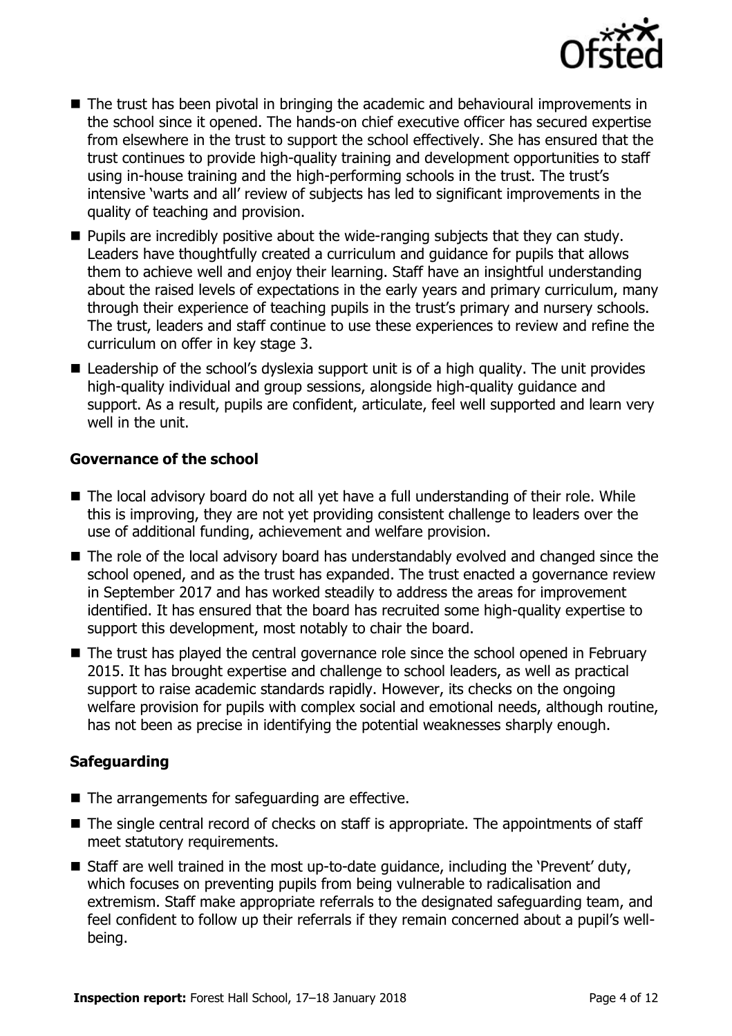

- The trust has been pivotal in bringing the academic and behavioural improvements in the school since it opened. The hands-on chief executive officer has secured expertise from elsewhere in the trust to support the school effectively. She has ensured that the trust continues to provide high-quality training and development opportunities to staff using in-house training and the high-performing schools in the trust. The trust's intensive 'warts and all' review of subjects has led to significant improvements in the quality of teaching and provision.
- **Pupils are incredibly positive about the wide-ranging subjects that they can study.** Leaders have thoughtfully created a curriculum and guidance for pupils that allows them to achieve well and enjoy their learning. Staff have an insightful understanding about the raised levels of expectations in the early years and primary curriculum, many through their experience of teaching pupils in the trust's primary and nursery schools. The trust, leaders and staff continue to use these experiences to review and refine the curriculum on offer in key stage 3.
- Leadership of the school's dyslexia support unit is of a high quality. The unit provides high-quality individual and group sessions, alongside high-quality guidance and support. As a result, pupils are confident, articulate, feel well supported and learn very well in the unit.

#### **Governance of the school**

- The local advisory board do not all yet have a full understanding of their role. While this is improving, they are not yet providing consistent challenge to leaders over the use of additional funding, achievement and welfare provision.
- The role of the local advisory board has understandably evolved and changed since the school opened, and as the trust has expanded. The trust enacted a governance review in September 2017 and has worked steadily to address the areas for improvement identified. It has ensured that the board has recruited some high-quality expertise to support this development, most notably to chair the board.
- The trust has played the central governance role since the school opened in February 2015. It has brought expertise and challenge to school leaders, as well as practical support to raise academic standards rapidly. However, its checks on the ongoing welfare provision for pupils with complex social and emotional needs, although routine, has not been as precise in identifying the potential weaknesses sharply enough.

### **Safeguarding**

- $\blacksquare$  The arrangements for safeguarding are effective.
- The single central record of checks on staff is appropriate. The appointments of staff meet statutory requirements.
- Staff are well trained in the most up-to-date guidance, including the 'Prevent' duty, which focuses on preventing pupils from being vulnerable to radicalisation and extremism. Staff make appropriate referrals to the designated safeguarding team, and feel confident to follow up their referrals if they remain concerned about a pupil's wellbeing.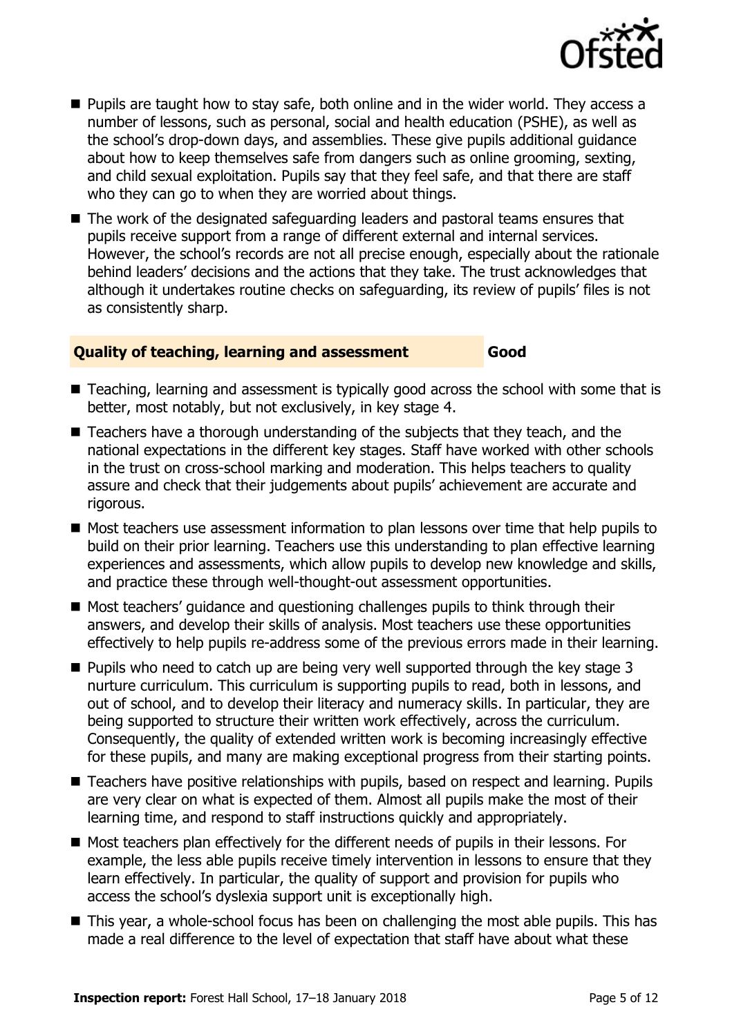

- **Pupils are taught how to stay safe, both online and in the wider world. They access a** number of lessons, such as personal, social and health education (PSHE), as well as the school's drop-down days, and assemblies. These give pupils additional guidance about how to keep themselves safe from dangers such as online grooming, sexting, and child sexual exploitation. Pupils say that they feel safe, and that there are staff who they can go to when they are worried about things.
- The work of the designated safeguarding leaders and pastoral teams ensures that pupils receive support from a range of different external and internal services. However, the school's records are not all precise enough, especially about the rationale behind leaders' decisions and the actions that they take. The trust acknowledges that although it undertakes routine checks on safeguarding, its review of pupils' files is not as consistently sharp.

#### **Quality of teaching, learning and assessment Good**

- Teaching, learning and assessment is typically good across the school with some that is better, most notably, but not exclusively, in key stage 4.
- Teachers have a thorough understanding of the subjects that they teach, and the national expectations in the different key stages. Staff have worked with other schools in the trust on cross-school marking and moderation. This helps teachers to quality assure and check that their judgements about pupils' achievement are accurate and rigorous.
- Most teachers use assessment information to plan lessons over time that help pupils to build on their prior learning. Teachers use this understanding to plan effective learning experiences and assessments, which allow pupils to develop new knowledge and skills, and practice these through well-thought-out assessment opportunities.
- Most teachers' guidance and questioning challenges pupils to think through their answers, and develop their skills of analysis. Most teachers use these opportunities effectively to help pupils re-address some of the previous errors made in their learning.
- $\blacksquare$  Pupils who need to catch up are being very well supported through the key stage 3 nurture curriculum. This curriculum is supporting pupils to read, both in lessons, and out of school, and to develop their literacy and numeracy skills. In particular, they are being supported to structure their written work effectively, across the curriculum. Consequently, the quality of extended written work is becoming increasingly effective for these pupils, and many are making exceptional progress from their starting points.
- Teachers have positive relationships with pupils, based on respect and learning. Pupils are very clear on what is expected of them. Almost all pupils make the most of their learning time, and respond to staff instructions quickly and appropriately.
- Most teachers plan effectively for the different needs of pupils in their lessons. For example, the less able pupils receive timely intervention in lessons to ensure that they learn effectively. In particular, the quality of support and provision for pupils who access the school's dyslexia support unit is exceptionally high.
- This year, a whole-school focus has been on challenging the most able pupils. This has made a real difference to the level of expectation that staff have about what these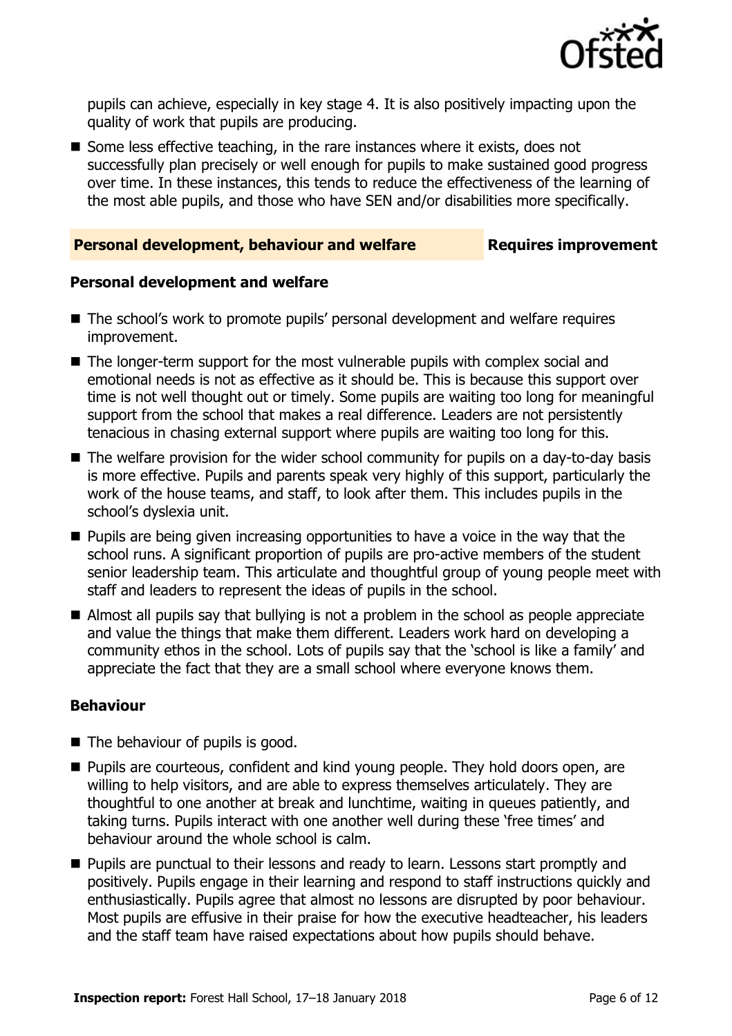

pupils can achieve, especially in key stage 4. It is also positively impacting upon the quality of work that pupils are producing.

Some less effective teaching, in the rare instances where it exists, does not successfully plan precisely or well enough for pupils to make sustained good progress over time. In these instances, this tends to reduce the effectiveness of the learning of the most able pupils, and those who have SEN and/or disabilities more specifically.

#### **Personal development, behaviour and welfare <b>Requires improvement**

#### **Personal development and welfare**

- The school's work to promote pupils' personal development and welfare requires improvement.
- The longer-term support for the most vulnerable pupils with complex social and emotional needs is not as effective as it should be. This is because this support over time is not well thought out or timely. Some pupils are waiting too long for meaningful support from the school that makes a real difference. Leaders are not persistently tenacious in chasing external support where pupils are waiting too long for this.
- The welfare provision for the wider school community for pupils on a day-to-day basis is more effective. Pupils and parents speak very highly of this support, particularly the work of the house teams, and staff, to look after them. This includes pupils in the school's dyslexia unit.
- $\blacksquare$  Pupils are being given increasing opportunities to have a voice in the way that the school runs. A significant proportion of pupils are pro-active members of the student senior leadership team. This articulate and thoughtful group of young people meet with staff and leaders to represent the ideas of pupils in the school.
- Almost all pupils say that bullying is not a problem in the school as people appreciate and value the things that make them different. Leaders work hard on developing a community ethos in the school. Lots of pupils say that the 'school is like a family' and appreciate the fact that they are a small school where everyone knows them.

### **Behaviour**

- $\blacksquare$  The behaviour of pupils is good.
- **Pupils are courteous, confident and kind young people. They hold doors open, are** willing to help visitors, and are able to express themselves articulately. They are thoughtful to one another at break and lunchtime, waiting in queues patiently, and taking turns. Pupils interact with one another well during these 'free times' and behaviour around the whole school is calm.
- **Pupils are punctual to their lessons and ready to learn. Lessons start promptly and** positively. Pupils engage in their learning and respond to staff instructions quickly and enthusiastically. Pupils agree that almost no lessons are disrupted by poor behaviour. Most pupils are effusive in their praise for how the executive headteacher, his leaders and the staff team have raised expectations about how pupils should behave.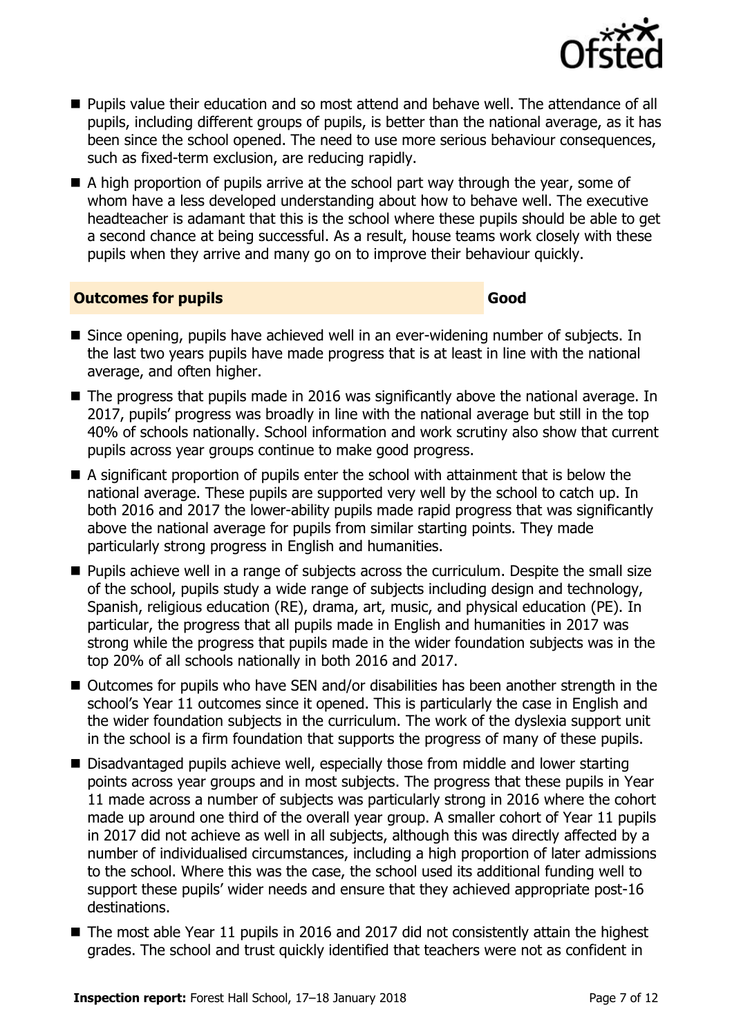

- Pupils value their education and so most attend and behave well. The attendance of all pupils, including different groups of pupils, is better than the national average, as it has been since the school opened. The need to use more serious behaviour consequences, such as fixed-term exclusion, are reducing rapidly.
- A high proportion of pupils arrive at the school part way through the year, some of whom have a less developed understanding about how to behave well. The executive headteacher is adamant that this is the school where these pupils should be able to get a second chance at being successful. As a result, house teams work closely with these pupils when they arrive and many go on to improve their behaviour quickly.

#### **Outcomes for pupils Good**

- Since opening, pupils have achieved well in an ever-widening number of subjects. In the last two years pupils have made progress that is at least in line with the national average, and often higher.
- The progress that pupils made in 2016 was significantly above the national average. In 2017, pupils' progress was broadly in line with the national average but still in the top 40% of schools nationally. School information and work scrutiny also show that current pupils across year groups continue to make good progress.
- A significant proportion of pupils enter the school with attainment that is below the national average. These pupils are supported very well by the school to catch up. In both 2016 and 2017 the lower-ability pupils made rapid progress that was significantly above the national average for pupils from similar starting points. They made particularly strong progress in English and humanities.
- **Pupils achieve well in a range of subjects across the curriculum. Despite the small size** of the school, pupils study a wide range of subjects including design and technology, Spanish, religious education (RE), drama, art, music, and physical education (PE). In particular, the progress that all pupils made in English and humanities in 2017 was strong while the progress that pupils made in the wider foundation subjects was in the top 20% of all schools nationally in both 2016 and 2017.
- Outcomes for pupils who have SEN and/or disabilities has been another strength in the school's Year 11 outcomes since it opened. This is particularly the case in English and the wider foundation subjects in the curriculum. The work of the dyslexia support unit in the school is a firm foundation that supports the progress of many of these pupils.
- Disadvantaged pupils achieve well, especially those from middle and lower starting points across year groups and in most subjects. The progress that these pupils in Year 11 made across a number of subjects was particularly strong in 2016 where the cohort made up around one third of the overall year group. A smaller cohort of Year 11 pupils in 2017 did not achieve as well in all subjects, although this was directly affected by a number of individualised circumstances, including a high proportion of later admissions to the school. Where this was the case, the school used its additional funding well to support these pupils' wider needs and ensure that they achieved appropriate post-16 destinations.
- The most able Year 11 pupils in 2016 and 2017 did not consistently attain the highest grades. The school and trust quickly identified that teachers were not as confident in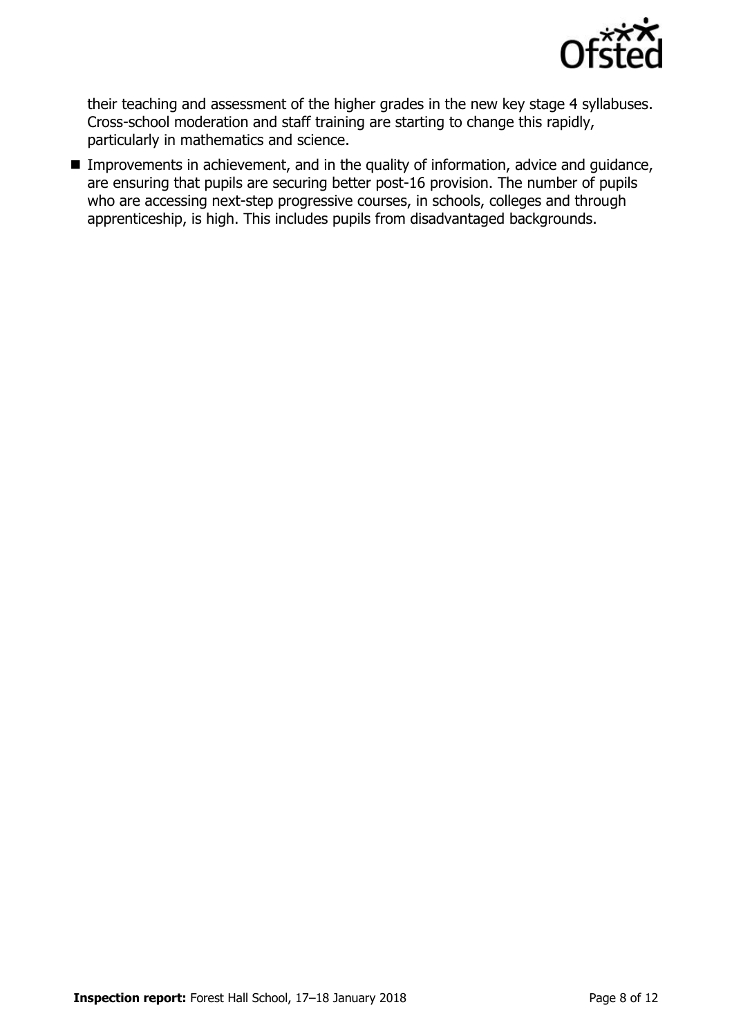

their teaching and assessment of the higher grades in the new key stage 4 syllabuses. Cross-school moderation and staff training are starting to change this rapidly, particularly in mathematics and science.

**IMPROMENTED Improvements in achievement, and in the quality of information, advice and guidance,** are ensuring that pupils are securing better post-16 provision. The number of pupils who are accessing next-step progressive courses, in schools, colleges and through apprenticeship, is high. This includes pupils from disadvantaged backgrounds.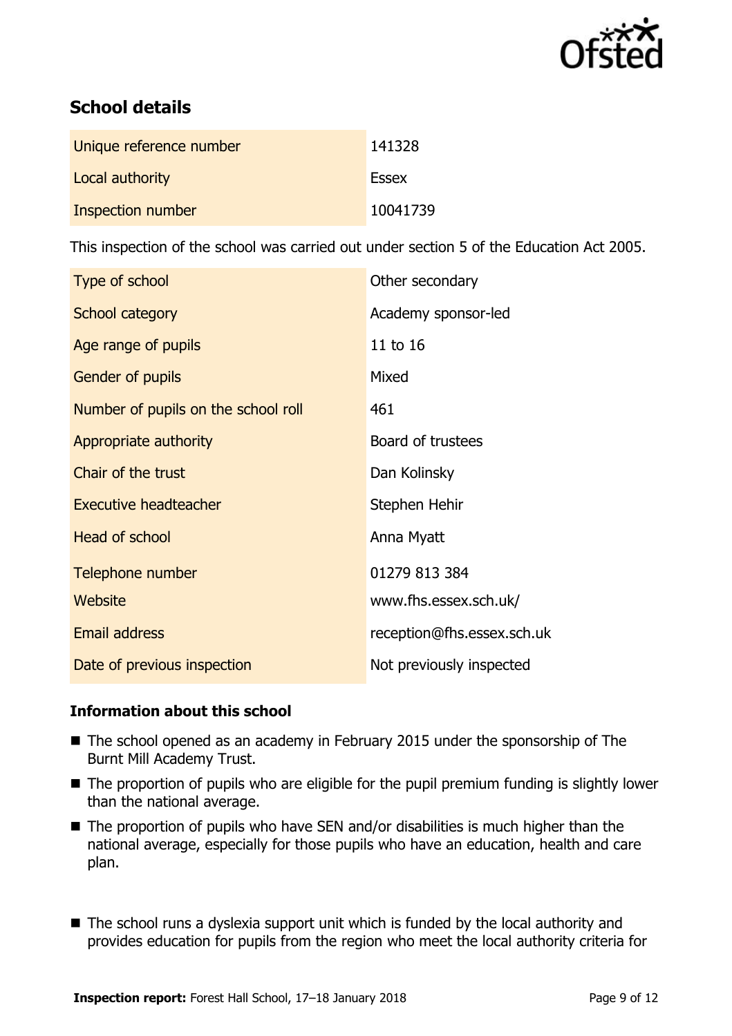

# **School details**

| Unique reference number | 141328       |
|-------------------------|--------------|
| Local authority         | <b>Essex</b> |
| Inspection number       | 10041739     |

This inspection of the school was carried out under section 5 of the Education Act 2005.

| Type of school                      | Other secondary            |
|-------------------------------------|----------------------------|
| School category                     | Academy sponsor-led        |
| Age range of pupils                 | 11 to 16                   |
| Gender of pupils                    | Mixed                      |
| Number of pupils on the school roll | 461                        |
| Appropriate authority               | Board of trustees          |
| Chair of the trust                  | Dan Kolinsky               |
| <b>Executive headteacher</b>        | Stephen Hehir              |
| <b>Head of school</b>               | Anna Myatt                 |
| Telephone number                    | 01279 813 384              |
| Website                             | www.fhs.essex.sch.uk/      |
| Email address                       | reception@fhs.essex.sch.uk |
| Date of previous inspection         | Not previously inspected   |

### **Information about this school**

- The school opened as an academy in February 2015 under the sponsorship of The Burnt Mill Academy Trust.
- The proportion of pupils who are eligible for the pupil premium funding is slightly lower than the national average.
- $\blacksquare$  The proportion of pupils who have SEN and/or disabilities is much higher than the national average, especially for those pupils who have an education, health and care plan.
- The school runs a dyslexia support unit which is funded by the local authority and provides education for pupils from the region who meet the local authority criteria for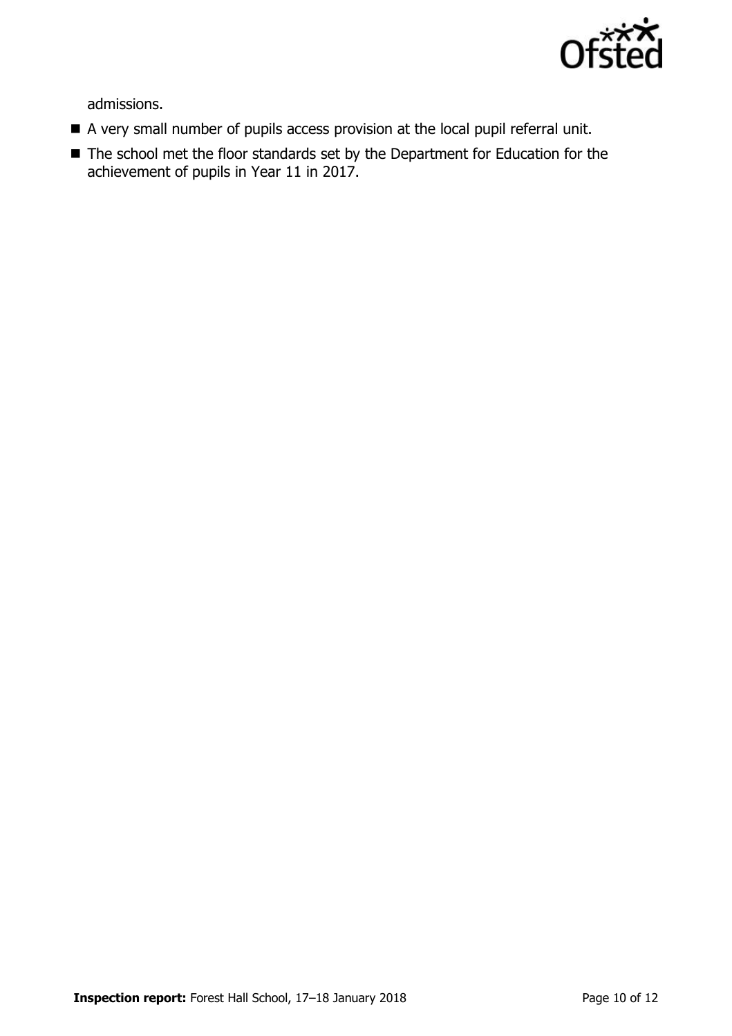

admissions.

- A very small number of pupils access provision at the local pupil referral unit.
- The school met the floor standards set by the Department for Education for the achievement of pupils in Year 11 in 2017.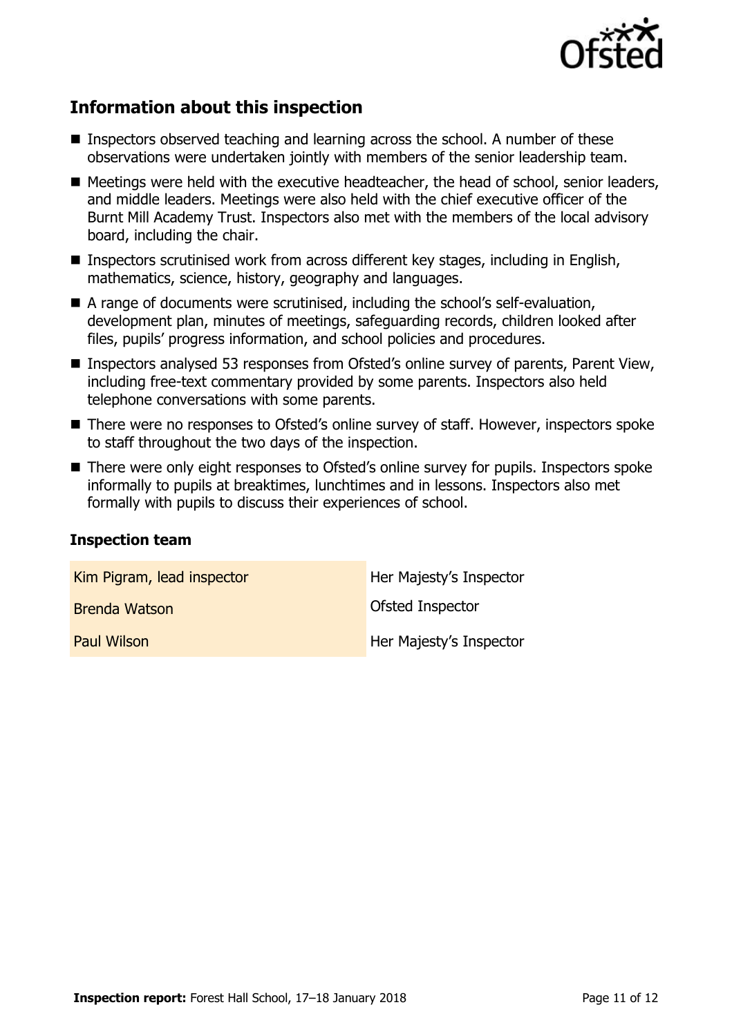

# **Information about this inspection**

- Inspectors observed teaching and learning across the school. A number of these observations were undertaken jointly with members of the senior leadership team.
- Meetings were held with the executive headteacher, the head of school, senior leaders, and middle leaders. Meetings were also held with the chief executive officer of the Burnt Mill Academy Trust. Inspectors also met with the members of the local advisory board, including the chair.
- Inspectors scrutinised work from across different key stages, including in English, mathematics, science, history, geography and languages.
- A range of documents were scrutinised, including the school's self-evaluation, development plan, minutes of meetings, safeguarding records, children looked after files, pupils' progress information, and school policies and procedures.
- Inspectors analysed 53 responses from Ofsted's online survey of parents, Parent View, including free-text commentary provided by some parents. Inspectors also held telephone conversations with some parents.
- There were no responses to Ofsted's online survey of staff. However, inspectors spoke to staff throughout the two days of the inspection.
- There were only eight responses to Ofsted's online survey for pupils. Inspectors spoke informally to pupils at breaktimes, lunchtimes and in lessons. Inspectors also met formally with pupils to discuss their experiences of school.

#### **Inspection team**

| Kim Pigram, lead inspector | Her Majesty's Inspector |
|----------------------------|-------------------------|
| <b>Brenda Watson</b>       | Ofsted Inspector        |
| <b>Paul Wilson</b>         | Her Majesty's Inspector |